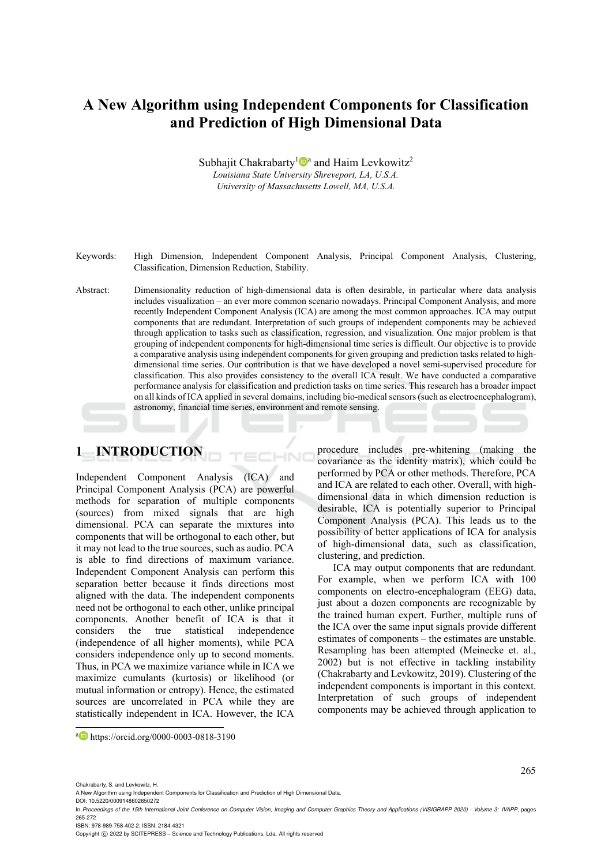## **A New Algorithm using Independent Components for Classification and Prediction of High Dimensional Data**

Subhajit Chakrabarty<sup>1</sup><sup>a</sup> and Haim Levkowitz<sup>2</sup> *Louisiana State University Shreveport, LA, U.S.A. University of Massachusetts Lowell, MA, U.S.A.* 

Keywords: High Dimension, Independent Component Analysis, Principal Component Analysis, Clustering, Classification, Dimension Reduction, Stability.

Abstract: Dimensionality reduction of high-dimensional data is often desirable, in particular where data analysis includes visualization – an ever more common scenario nowadays. Principal Component Analysis, and more recently Independent Component Analysis (ICA) are among the most common approaches. ICA may output components that are redundant. Interpretation of such groups of independent components may be achieved through application to tasks such as classification, regression, and visualization. One major problem is that grouping of independent components for high-dimensional time series is difficult. Our objective is to provide a comparative analysis using independent components for given grouping and prediction tasks related to highdimensional time series. Our contribution is that we have developed a novel semi-supervised procedure for classification. This also provides consistency to the overall ICA result. We have conducted a comparative performance analysis for classification and prediction tasks on time series. This research has a broader impact on all kinds of ICA applied in several domains, including bio-medical sensors (such as electroencephalogram), astronomy, financial time series, environment and remote sensing.

 $\neg N$ 

## **1 INTRODUCTION**

Independent Component Analysis (ICA) and Principal Component Analysis (PCA) are powerful methods for separation of multiple components (sources) from mixed signals that are high dimensional. PCA can separate the mixtures into components that will be orthogonal to each other, but it may not lead to the true sources, such as audio. PCA is able to find directions of maximum variance. Independent Component Analysis can perform this separation better because it finds directions most aligned with the data. The independent components need not be orthogonal to each other, unlike principal components. Another benefit of ICA is that it considers the true statistical independence (independence of all higher moments), while PCA considers independence only up to second moments. Thus, in PCA we maximize variance while in ICA we maximize cumulants (kurtosis) or likelihood (or mutual information or entropy). Hence, the estimated sources are uncorrelated in PCA while they are statistically independent in ICA. However, the ICA

procedure includes pre-whitening (making the covariance as the identity matrix), which could be performed by PCA or other methods. Therefore, PCA and ICA are related to each other. Overall, with highdimensional data in which dimension reduction is desirable, ICA is potentially superior to Principal Component Analysis (PCA). This leads us to the possibility of better applications of ICA for analysis of high-dimensional data, such as classification, clustering, and prediction.

ICA may output components that are redundant. For example, when we perform ICA with 100 components on electro-encephalogram (EEG) data, just about a dozen components are recognizable by the trained human expert. Further, multiple runs of the ICA over the same input signals provide different estimates of components – the estimates are unstable. Resampling has been attempted (Meinecke et. al., 2002) but is not effective in tackling instability (Chakrabarty and Levkowitz, 2019). Clustering of the independent components is important in this context. Interpretation of such groups of independent components may be achieved through application to

 $\overline{a}$ 

DOI: 10.5220/0009148602650272

ISBN: 978-989-758-402-2; ISSN: 2184-4321

Copyright © 2022 by SCITEPRESS - Science and Technology Publications, Lda. All rights reserved

a https://orcid.org/0000-0003-0818-3190

A New Algorithm using Independent Components for Classification and Prediction of High Dimensional Data.

In *Proceedings of the 15th International Joint Conference on Computer Vision, Imaging and Computer Graphics Theory and Applications (VISIGRAPP 2020) - Volume 3: IVAPP*, pages 265-272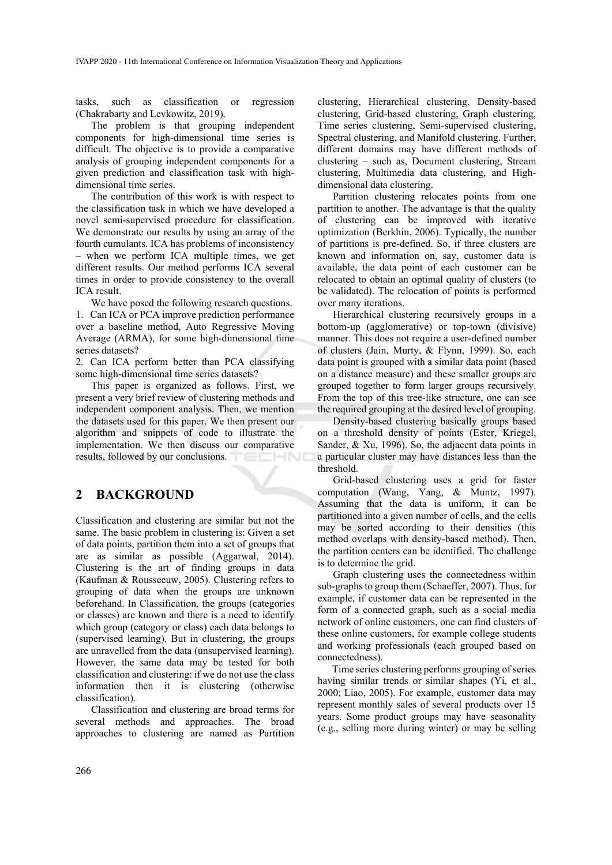tasks, such as classification or regression (Chakrabarty and Levkowitz, 2019).

The problem is that grouping independent components for high-dimensional time series is difficult. The objective is to provide a comparative analysis of grouping independent components for a given prediction and classification task with highdimensional time series.

The contribution of this work is with respect to the classification task in which we have developed a novel semi-supervised procedure for classification. We demonstrate our results by using an array of the fourth cumulants. ICA has problems of inconsistency – when we perform ICA multiple times, we get different results. Our method performs ICA several times in order to provide consistency to the overall ICA result.

We have posed the following research questions. 1. Can ICA or PCA improve prediction performance over a baseline method, Auto Regressive Moving Average (ARMA), for some high-dimensional time series datasets?

2. Can ICA perform better than PCA classifying some high-dimensional time series datasets?

This paper is organized as follows. First, we present a very brief review of clustering methods and independent component analysis. Then, we mention the datasets used for this paper. We then present our algorithm and snippets of code to illustrate the implementation. We then discuss our comparative results, followed by our conclusions.

## **2 BACKGROUND**

Classification and clustering are similar but not the same. The basic problem in clustering is: Given a set of data points, partition them into a set of groups that are as similar as possible (Aggarwal, 2014). Clustering is the art of finding groups in data (Kaufman & Rousseeuw, 2005). Clustering refers to grouping of data when the groups are unknown beforehand. In Classification, the groups (categories or classes) are known and there is a need to identify which group (category or class) each data belongs to (supervised learning). But in clustering, the groups are unravelled from the data (unsupervised learning). However, the same data may be tested for both classification and clustering: if we do not use the class information then it is clustering (otherwise classification).

Classification and clustering are broad terms for several methods and approaches. The broad approaches to clustering are named as Partition

clustering, Hierarchical clustering, Density-based clustering, Grid-based clustering, Graph clustering, Time series clustering, Semi-supervised clustering, Spectral clustering, and Manifold clustering. Further, different domains may have different methods of clustering – such as, Document clustering, Stream clustering, Multimedia data clustering, and Highdimensional data clustering.

Partition clustering relocates points from one partition to another. The advantage is that the quality of clustering can be improved with iterative optimization (Berkhin, 2006). Typically, the number of partitions is pre-defined. So, if three clusters are known and information on, say, customer data is available, the data point of each customer can be relocated to obtain an optimal quality of clusters (to be validated). The relocation of points is performed over many iterations.

Hierarchical clustering recursively groups in a bottom-up (agglomerative) or top-town (divisive) manner. This does not require a user-defined number of clusters (Jain, Murty, & Flynn, 1999). So, each data point is grouped with a similar data point (based on a distance measure) and these smaller groups are grouped together to form larger groups recursively. From the top of this tree-like structure, one can see the required grouping at the desired level of grouping.

Density-based clustering basically groups based on a threshold density of points (Ester, Kriegel, Sander, & Xu, 1996). So, the adjacent data points in a particular cluster may have distances less than the threshold.

Grid-based clustering uses a grid for faster computation (Wang, Yang, & Muntz, 1997). Assuming that the data is uniform, it can be partitioned into a given number of cells, and the cells may be sorted according to their densities (this method overlaps with density-based method). Then, the partition centers can be identified. The challenge is to determine the grid.

Graph clustering uses the connectedness within sub-graphs to group them (Schaeffer, 2007). Thus, for example, if customer data can be represented in the form of a connected graph, such as a social media network of online customers, one can find clusters of these online customers, for example college students and working professionals (each grouped based on connectedness).

Time series clustering performs grouping of series having similar trends or similar shapes (Yi, et al., 2000; Liao, 2005). For example, customer data may represent monthly sales of several products over 15 years. Some product groups may have seasonality (e.g., selling more during winter) or may be selling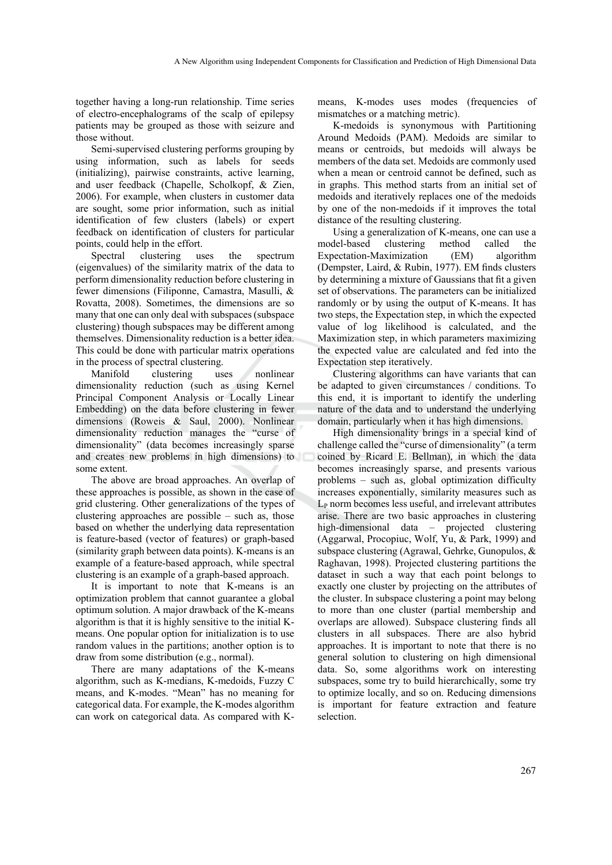together having a long-run relationship. Time series of electro-encephalograms of the scalp of epilepsy patients may be grouped as those with seizure and those without.

Semi-supervised clustering performs grouping by using information, such as labels for seeds (initializing), pairwise constraints, active learning, and user feedback (Chapelle, Scholkopf, & Zien, 2006). For example, when clusters in customer data are sought, some prior information, such as initial identification of few clusters (labels) or expert feedback on identification of clusters for particular points, could help in the effort.

Spectral clustering uses the spectrum (eigenvalues) of the similarity matrix of the data to perform dimensionality reduction before clustering in fewer dimensions (Filiponne, Camastra, Masulli, & Rovatta, 2008). Sometimes, the dimensions are so many that one can only deal with subspaces (subspace clustering) though subspaces may be different among themselves. Dimensionality reduction is a better idea. This could be done with particular matrix operations in the process of spectral clustering.

Manifold clustering uses nonlinear dimensionality reduction (such as using Kernel Principal Component Analysis or Locally Linear Embedding) on the data before clustering in fewer dimensions (Roweis & Saul, 2000). Nonlinear dimensionality reduction manages the "curse of dimensionality" (data becomes increasingly sparse and creates new problems in high dimensions) to some extent.

The above are broad approaches. An overlap of these approaches is possible, as shown in the case of grid clustering. Other generalizations of the types of clustering approaches are possible – such as, those based on whether the underlying data representation is feature-based (vector of features) or graph-based (similarity graph between data points). K-means is an example of a feature-based approach, while spectral clustering is an example of a graph-based approach.

It is important to note that K-means is an optimization problem that cannot guarantee a global optimum solution. A major drawback of the K-means algorithm is that it is highly sensitive to the initial Kmeans. One popular option for initialization is to use random values in the partitions; another option is to draw from some distribution (e.g., normal).

There are many adaptations of the K-means algorithm, such as K-medians, K-medoids, Fuzzy C means, and K-modes. "Mean" has no meaning for categorical data. For example, the K-modes algorithm can work on categorical data. As compared with K-

means, K-modes uses modes (frequencies of mismatches or a matching metric).

K-medoids is synonymous with Partitioning Around Medoids (PAM). Medoids are similar to means or centroids, but medoids will always be members of the data set. Medoids are commonly used when a mean or centroid cannot be defined, such as in graphs. This method starts from an initial set of medoids and iteratively replaces one of the medoids by one of the non-medoids if it improves the total distance of the resulting clustering.

Using a generalization of K-means, one can use a model-based clustering method called the Expectation-Maximization (EM) algorithm (Dempster, Laird, & Rubin, 1977). EM finds clusters by determining a mixture of Gaussians that fit a given set of observations. The parameters can be initialized randomly or by using the output of K-means. It has two steps, the Expectation step, in which the expected value of log likelihood is calculated, and the Maximization step, in which parameters maximizing the expected value are calculated and fed into the Expectation step iteratively.

Clustering algorithms can have variants that can be adapted to given circumstances / conditions. To this end, it is important to identify the underling nature of the data and to understand the underlying domain, particularly when it has high dimensions.

High dimensionality brings in a special kind of challenge called the "curse of dimensionality" (a term coined by Ricard E. Bellman), in which the data becomes increasingly sparse, and presents various problems – such as, global optimization difficulty increases exponentially, similarity measures such as LP norm becomes less useful, and irrelevant attributes arise. There are two basic approaches in clustering high-dimensional data – projected clustering (Aggarwal, Procopiuc, Wolf, Yu, & Park, 1999) and subspace clustering (Agrawal, Gehrke, Gunopulos, & Raghavan, 1998). Projected clustering partitions the dataset in such a way that each point belongs to exactly one cluster by projecting on the attributes of the cluster. In subspace clustering a point may belong to more than one cluster (partial membership and overlaps are allowed). Subspace clustering finds all clusters in all subspaces. There are also hybrid approaches. It is important to note that there is no general solution to clustering on high dimensional data. So, some algorithms work on interesting subspaces, some try to build hierarchically, some try to optimize locally, and so on. Reducing dimensions is important for feature extraction and feature selection.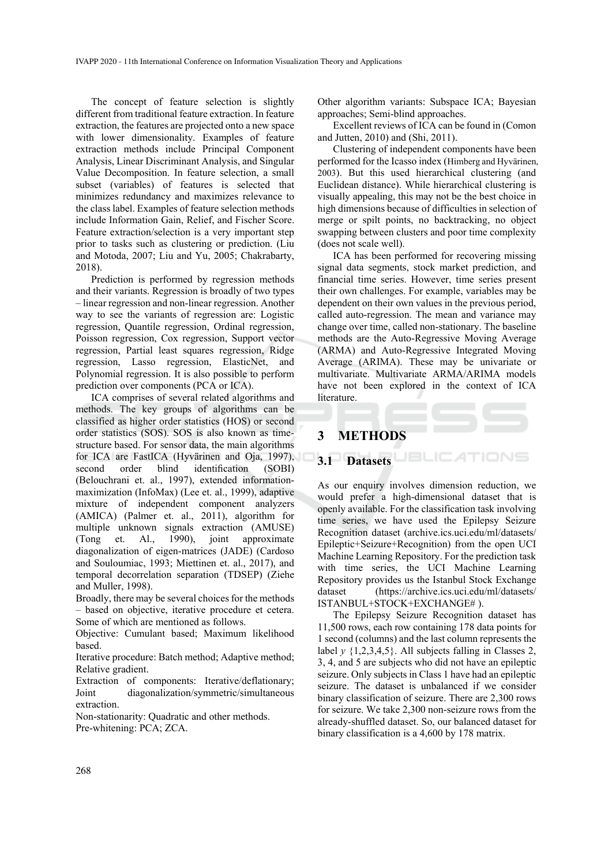The concept of feature selection is slightly different from traditional feature extraction. In feature extraction, the features are projected onto a new space with lower dimensionality. Examples of feature extraction methods include Principal Component Analysis, Linear Discriminant Analysis, and Singular Value Decomposition. In feature selection, a small subset (variables) of features is selected that minimizes redundancy and maximizes relevance to the class label. Examples of feature selection methods include Information Gain, Relief, and Fischer Score. Feature extraction/selection is a very important step prior to tasks such as clustering or prediction. (Liu and Motoda, 2007; Liu and Yu, 2005; Chakrabarty, 2018).

Prediction is performed by regression methods and their variants. Regression is broadly of two types – linear regression and non-linear regression. Another way to see the variants of regression are: Logistic regression, Quantile regression, Ordinal regression, Poisson regression, Cox regression, Support vector regression, Partial least squares regression, Ridge regression, Lasso regression, ElasticNet, and Polynomial regression. It is also possible to perform prediction over components (PCA or ICA).

ICA comprises of several related algorithms and methods. The key groups of algorithms can be classified as higher order statistics (HOS) or second order statistics (SOS). SOS is also known as timestructure based. For sensor data, the main algorithms for ICA are FastICA (Hyvärinen and Oja, 1997), second order blind identification (SOBI) (Belouchrani et. al., 1997), extended informationmaximization (InfoMax) (Lee et. al., 1999), adaptive mixture of independent component analyzers (AMICA) (Palmer et. al., 2011), algorithm for multiple unknown signals extraction (AMUSE) (Tong et. Al., 1990), joint approximate diagonalization of eigen-matrices (JADE) (Cardoso and Souloumiac, 1993; Miettinen et. al., 2017), and temporal decorrelation separation (TDSEP) (Ziehe and Muller, 1998).

Broadly, there may be several choices for the methods – based on objective, iterative procedure et cetera. Some of which are mentioned as follows.

Objective: Cumulant based; Maximum likelihood based.

Iterative procedure: Batch method; Adaptive method; Relative gradient.

Extraction of components: Iterative/deflationary; Joint diagonalization/symmetric/simultaneous extraction.

Non-stationarity: Quadratic and other methods.

Pre-whitening: PCA; ZCA.

Other algorithm variants: Subspace ICA; Bayesian approaches; Semi-blind approaches.

Excellent reviews of ICA can be found in (Comon and Jutten, 2010) and (Shi, 2011).

Clustering of independent components have been performed for the Icasso index (Himberg and Hyvärinen, 2003). But this used hierarchical clustering (and Euclidean distance). While hierarchical clustering is visually appealing, this may not be the best choice in high dimensions because of difficulties in selection of merge or spilt points, no backtracking, no object swapping between clusters and poor time complexity (does not scale well).

ICA has been performed for recovering missing signal data segments, stock market prediction, and financial time series. However, time series present their own challenges. For example, variables may be dependent on their own values in the previous period, called auto-regression. The mean and variance may change over time, called non-stationary. The baseline methods are the Auto-Regressive Moving Average (ARMA) and Auto-Regressive Integrated Moving Average (ARIMA). These may be univariate or multivariate. Multivariate ARMA/ARIMA models have not been explored in the context of ICA literature.

## **3 METHODS**

# **3.1 Datasets**

As our enquiry involves dimension reduction, we would prefer a high-dimensional dataset that is openly available. For the classification task involving time series, we have used the Epilepsy Seizure Recognition dataset (archive.ics.uci.edu/ml/datasets/ Epileptic+Seizure+Recognition) from the open UCI Machine Learning Repository. For the prediction task with time series, the UCI Machine Learning Repository provides us the Istanbul Stock Exchange dataset (https://archive.ics.uci.edu/ml/datasets/ ISTANBUL+STOCK+EXCHANGE# ).

The Epilepsy Seizure Recognition dataset has 11,500 rows, each row containing 178 data points for 1 second (columns) and the last column represents the label *y* {1,2,3,4,5}. All subjects falling in Classes 2, 3, 4, and 5 are subjects who did not have an epileptic seizure. Only subjects in Class 1 have had an epileptic seizure. The dataset is unbalanced if we consider binary classification of seizure. There are 2,300 rows for seizure. We take 2,300 non-seizure rows from the already-shuffled dataset. So, our balanced dataset for binary classification is a 4,600 by 178 matrix.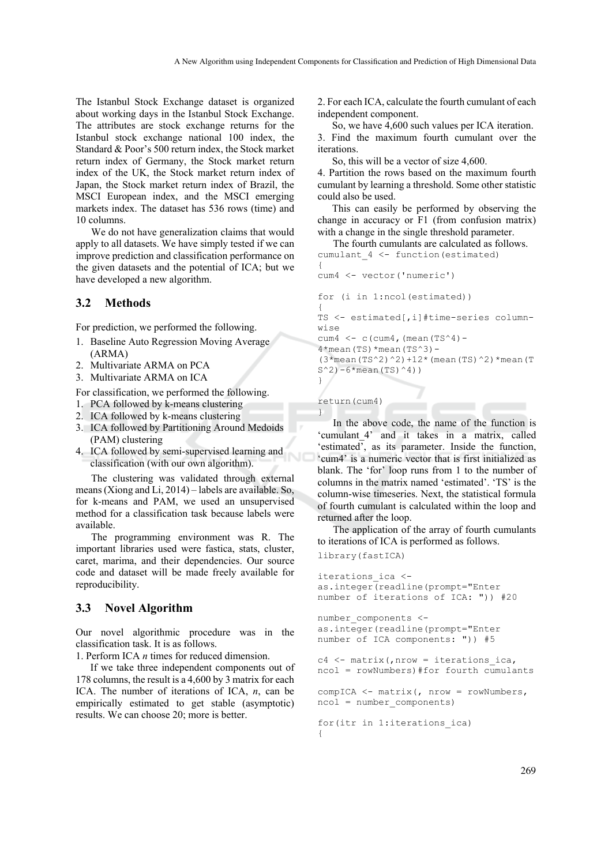The Istanbul Stock Exchange dataset is organized about working days in the Istanbul Stock Exchange. The attributes are stock exchange returns for the Istanbul stock exchange national 100 index, the Standard & Poor's 500 return index, the Stock market return index of Germany, the Stock market return index of the UK, the Stock market return index of Japan, the Stock market return index of Brazil, the MSCI European index, and the MSCI emerging markets index. The dataset has 536 rows (time) and 10 columns.

We do not have generalization claims that would apply to all datasets. We have simply tested if we can improve prediction and classification performance on the given datasets and the potential of ICA; but we have developed a new algorithm.

### **3.2 Methods**

For prediction, we performed the following.

- 1. Baseline Auto Regression Moving Average (ARMA)
- 2. Multivariate ARMA on PCA
- 3. Multivariate ARMA on ICA

For classification, we performed the following.

- 1. PCA followed by k-means clustering
- 2. ICA followed by k-means clustering
- 3. ICA followed by Partitioning Around Medoids (PAM) clustering
- 4. ICA followed by semi-supervised learning and classification (with our own algorithm).

The clustering was validated through external means (Xiong and Li, 2014) – labels are available. So, for k-means and PAM, we used an unsupervised method for a classification task because labels were available.

The programming environment was R. The important libraries used were fastica, stats, cluster, caret, marima, and their dependencies. Our source code and dataset will be made freely available for reproducibility.

#### **3.3 Novel Algorithm**

Our novel algorithmic procedure was in the classification task. It is as follows.

1. Perform ICA *n* times for reduced dimension.

If we take three independent components out of 178 columns, the result is a 4,600 by 3 matrix for each ICA. The number of iterations of ICA, *n*, can be empirically estimated to get stable (asymptotic) results. We can choose 20; more is better.

2. For each ICA, calculate the fourth cumulant of each independent component.

So, we have 4,600 such values per ICA iteration. 3. Find the maximum fourth cumulant over the iterations.

So, this will be a vector of size 4,600.

4. Partition the rows based on the maximum fourth cumulant by learning a threshold. Some other statistic could also be used.

This can easily be performed by observing the change in accuracy or F1 (from confusion matrix) with a change in the single threshold parameter.

The fourth cumulants are calculated as follows. cumulant 4 <- function(estimated) {

```
cum4 <- vector('numeric')
```
for (i in 1:ncol(estimated)) {

TS <- estimated[,i]#time-series columnwise

cum4  $\leftarrow$  c(cum4, (mean(TS^4)-

 $4*$ mean(TS) \*mean(TS^3)-(3\*mean(TS^2)^2)+12\*(mean(TS)^2)\*mean(T  $S^2$ )-6\*mean(TS)<sup>^4</sup>))

```
return(cum4) 
}
```
}

In the above code, the name of the function is 'cumulant 4' and it takes in a matrix, called 'estimated', as its parameter. Inside the function, 'cum4' is a numeric vector that is first initialized as blank. The 'for' loop runs from 1 to the number of columns in the matrix named 'estimated'. 'TS' is the column-wise timeseries. Next, the statistical formula of fourth cumulant is calculated within the loop and returned after the loop.

The application of the array of fourth cumulants to iterations of ICA is performed as follows.

library(fastICA)

```
iterations_ica <- 
as.integer(readline(prompt="Enter 
number of iterations of ICA: ")) #20 
number components <-
as.integer(readline(prompt="Enter 
number of ICA components: ")) #5 
c4 \leq - matrix(, nrow = iterations ica,
ncol = rowNumbers)#for fourth cumulants 
compICA <- matrix(, nrow = rowNumbers, 
ncol = number_components) 
for(itr in 1:iterations_ica) 
{
```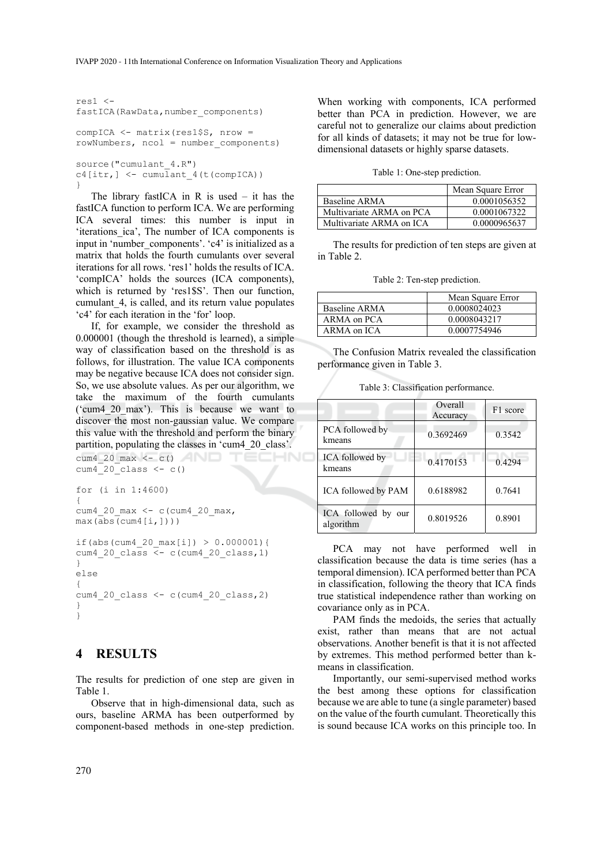```
res1 <- 
fastICA(RawData, number components)
compICA <- matrix(res1$S, nrow = 
rowNumbers, ncol = number_components) 
source("cumulant 4.R")
c4[itr] <- cumulant 4(t(compICA))}
```
The library fastICA in R is used  $-$  it has the fastICA function to perform ICA. We are performing ICA several times: this number is input in 'iterations\_ica', The number of ICA components is input in 'number components'. 'c4' is initialized as a matrix that holds the fourth cumulants over several iterations for all rows. 'res1' holds the results of ICA. 'compICA' holds the sources (ICA components), which is returned by 'res1\$S'. Then our function, cumulant\_4, is called, and its return value populates 'c4' for each iteration in the 'for' loop.

If, for example, we consider the threshold as 0.000001 (though the threshold is learned), a simple way of classification based on the threshold is as follows, for illustration. The value ICA components may be negative because ICA does not consider sign. So, we use absolute values. As per our algorithm, we take the maximum of the fourth cumulants ('cum4\_20\_max'). This is because we want to discover the most non-gaussian value. We compare this value with the threshold and perform the binary partition, populating the classes in 'cum4\_20\_class'.

```
cum4 20 max \langle -c() \ranglecum4^-20^-class \leftarrow c()for (i in 1:4600) 
{ 
cum4_20_max <- c(cum4_20_max, 
max(abs(cum4[i,])))
if(abs(cum4_20_max[i]) > 0.000001){ 
cum4 20 class \overline{5} c (cum4 20 class, 1)
} 
else 
{ 
cum4_20_class <- c(cum4_20_class,2) 
} 
}
```
### **4 RESULTS**

The results for prediction of one step are given in Table 1.

Observe that in high-dimensional data, such as ours, baseline ARMA has been outperformed by component-based methods in one-step prediction.

When working with components, ICA performed better than PCA in prediction. However, we are careful not to generalize our claims about prediction for all kinds of datasets; it may not be true for lowdimensional datasets or highly sparse datasets.

Table 1: One-step prediction.

|                          | Mean Square Error |
|--------------------------|-------------------|
| Baseline ARMA            | 0.0001056352      |
| Multivariate ARMA on PCA | 0.0001067322      |
| Multivariate ARMA on ICA | 0.0000965637      |

The results for prediction of ten steps are given at in Table 2.

Table 2: Ten-step prediction.

|               | Mean Square Error |  |
|---------------|-------------------|--|
| Baseline ARMA | 0.0008024023      |  |
| ARMA on PCA   | 0.0008043217      |  |
| ARMA on ICA   | 0.0007754946      |  |

The Confusion Matrix revealed the classification performance given in Table 3.

Table 3: Classification performance.

|                                     | Overall<br>Accuracy | F1 score |
|-------------------------------------|---------------------|----------|
| PCA followed by<br>kmeans           | 0.3692469           | 0.3542   |
| ICA followed by<br>kmeans           | 0.4170153           | 0.4294   |
| ICA followed by PAM                 | 0.6188982           | 0.7641   |
| ICA followed by<br>our<br>algorithm | 0.8019526           | 0.8901   |

PCA may not have performed well in classification because the data is time series (has a temporal dimension). ICA performed better than PCA in classification, following the theory that ICA finds true statistical independence rather than working on covariance only as in PCA.

PAM finds the medoids, the series that actually exist, rather than means that are not actual observations. Another benefit is that it is not affected by extremes. This method performed better than kmeans in classification.

Importantly, our semi-supervised method works the best among these options for classification because we are able to tune (a single parameter) based on the value of the fourth cumulant. Theoretically this is sound because ICA works on this principle too. In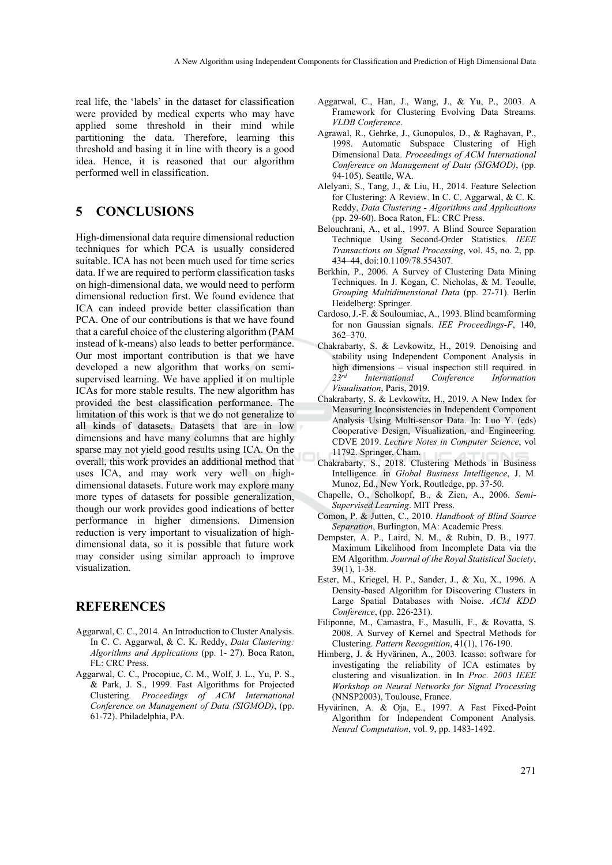real life, the 'labels' in the dataset for classification were provided by medical experts who may have applied some threshold in their mind while partitioning the data. Therefore, learning this threshold and basing it in line with theory is a good idea. Hence, it is reasoned that our algorithm performed well in classification.

## **5 CONCLUSIONS**

High-dimensional data require dimensional reduction techniques for which PCA is usually considered suitable. ICA has not been much used for time series data. If we are required to perform classification tasks on high-dimensional data, we would need to perform dimensional reduction first. We found evidence that ICA can indeed provide better classification than PCA. One of our contributions is that we have found that a careful choice of the clustering algorithm (PAM instead of k-means) also leads to better performance. Our most important contribution is that we have developed a new algorithm that works on semisupervised learning. We have applied it on multiple ICAs for more stable results. The new algorithm has provided the best classification performance. The limitation of this work is that we do not generalize to all kinds of datasets. Datasets that are in low dimensions and have many columns that are highly sparse may not yield good results using ICA. On the overall, this work provides an additional method that uses ICA, and may work very well on highdimensional datasets. Future work may explore many more types of datasets for possible generalization, though our work provides good indications of better performance in higher dimensions. Dimension reduction is very important to visualization of highdimensional data, so it is possible that future work may consider using similar approach to improve visualization.

## **REFERENCES**

- Aggarwal, C. C., 2014. An Introduction to Cluster Analysis. In C. C. Aggarwal, & C. K. Reddy, *Data Clustering: Algorithms and Applications* (pp. 1- 27). Boca Raton, FL: CRC Press.
- Aggarwal, C. C., Procopiuc, C. M., Wolf, J. L., Yu, P. S., & Park, J. S., 1999. Fast Algorithms for Projected Clustering. *Proceedings of ACM International Conference on Management of Data (SIGMOD)*, (pp. 61-72). Philadelphia, PA.
- Aggarwal, C., Han, J., Wang, J., & Yu, P., 2003. A Framework for Clustering Evolving Data Streams. *VLDB Conference*.
- Agrawal, R., Gehrke, J., Gunopulos, D., & Raghavan, P., 1998. Automatic Subspace Clustering of High Dimensional Data. *Proceedings of ACM International Conference on Management of Data (SIGMOD)*, (pp. 94-105). Seattle, WA.
- Alelyani, S., Tang, J., & Liu, H., 2014. Feature Selection for Clustering: A Review. In C. C. Aggarwal, & C. K. Reddy, *Data Clustering - Algorithms and Applications* (pp. 29-60). Boca Raton, FL: CRC Press.
- Belouchrani, A., et al., 1997. A Blind Source Separation Technique Using Second-Order Statistics. *IEEE Transactions on Signal Processing*, vol. 45, no. 2, pp. 434–44, doi:10.1109/78.554307.
- Berkhin, P., 2006. A Survey of Clustering Data Mining Techniques. In J. Kogan, C. Nicholas, & M. Teoulle, *Grouping Multidimensional Data* (pp. 27-71). Berlin Heidelberg: Springer.
- Cardoso, J.-F. & Souloumiac, A., 1993. Blind beamforming for non Gaussian signals. *IEE Proceedings-F*, 140, 362–370.
- Chakrabarty, S. & Levkowitz, H., 2019. Denoising and stability using Independent Component Analysis in high dimensions – visual inspection still required. in *23rd International Conference Information Visualisation*, Paris, 2019.
- Chakrabarty, S. & Levkowitz, H., 2019. A New Index for Measuring Inconsistencies in Independent Component Analysis Using Multi-sensor Data. In: Luo Y. (eds) Cooperative Design, Visualization, and Engineering. CDVE 2019. *Lecture Notes in Computer Science*, vol 11792. Springer, Cham.
- Chakrabarty, S., 2018. Clustering Methods in Business Intelligence. in *Global Business Intelligence*, J. M. Munoz, Ed., New York, Routledge, pp. 37-50.
- Chapelle, O., Scholkopf, B., & Zien, A., 2006. *Semi-Supervised Learning*. MIT Press.
- Comon, P. & Jutten, C., 2010. *Handbook of Blind Source Separation*, Burlington, MA: Academic Press.
- Dempster, A. P., Laird, N. M., & Rubin, D. B., 1977. Maximum Likelihood from Incomplete Data via the EM Algorithm. *Journal of the Royal Statistical Society*, 39(1), 1-38.
- Ester, M., Kriegel, H. P., Sander, J., & Xu, X., 1996. A Density-based Algorithm for Discovering Clusters in Large Spatial Databases with Noise. *ACM KDD Conference*, (pp. 226-231).
- Filiponne, M., Camastra, F., Masulli, F., & Rovatta, S. 2008. A Survey of Kernel and Spectral Methods for Clustering. *Pattern Recognition*, 41(1), 176-190.
- Himberg, J. & Hyvärinen, A., 2003. Icasso: software for investigating the reliability of ICA estimates by clustering and visualization. in In *Proc. 2003 IEEE Workshop on Neural Networks for Signal Processing* (NNSP2003), Toulouse, France.
- Hyvärinen, A. & Oja, E., 1997. A Fast Fixed-Point Algorithm for Independent Component Analysis. *Neural Computation*, vol. 9, pp. 1483-1492.